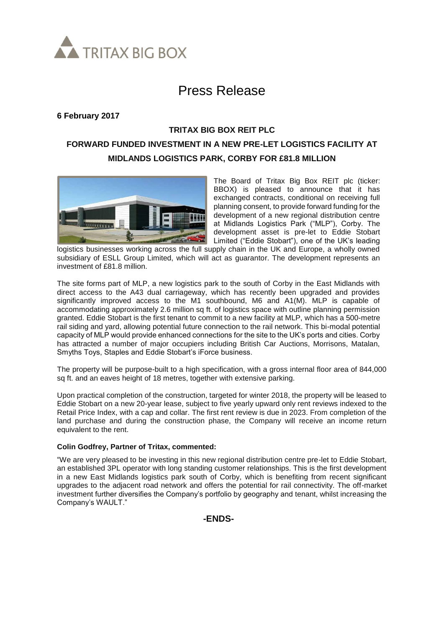

# Press Release

**6 February 2017**

### **TRITAX BIG BOX REIT PLC**

## **FORWARD FUNDED INVESTMENT IN A NEW PRE-LET LOGISTICS FACILITY AT MIDLANDS LOGISTICS PARK, CORBY FOR £81.8 MILLION**



The Board of Tritax Big Box REIT plc (ticker: BBOX) is pleased to announce that it has exchanged contracts, conditional on receiving full planning consent, to provide forward funding for the development of a new regional distribution centre at Midlands Logistics Park ("MLP"), Corby. The development asset is pre-let to Eddie Stobart Limited ("Eddie Stobart"), one of the UK's leading

logistics businesses working across the full supply chain in the UK and Europe, a wholly owned subsidiary of ESLL Group Limited, which will act as guarantor. The development represents an investment of £81.8 million.

The site forms part of MLP, a new logistics park to the south of Corby in the East Midlands with direct access to the A43 dual carriageway, which has recently been upgraded and provides significantly improved access to the M1 southbound, M6 and A1(M). MLP is capable of accommodating approximately 2.6 million sq ft. of logistics space with outline planning permission granted. Eddie Stobart is the first tenant to commit to a new facility at MLP, which has a 500-metre rail siding and yard, allowing potential future connection to the rail network. This bi-modal potential capacity of MLP would provide enhanced connections for the site to the UK's ports and cities. Corby has attracted a number of major occupiers including British Car Auctions, Morrisons, Matalan, Smyths Toys, Staples and Eddie Stobart's iForce business.

The property will be purpose-built to a high specification, with a gross internal floor area of 844,000 sq ft. and an eaves height of 18 metres, together with extensive parking.

Upon practical completion of the construction, targeted for winter 2018, the property will be leased to Eddie Stobart on a new 20-year lease, subject to five yearly upward only rent reviews indexed to the Retail Price Index, with a cap and collar. The first rent review is due in 2023. From completion of the land purchase and during the construction phase, the Company will receive an income return equivalent to the rent.

#### **Colin Godfrey, Partner of Tritax, commented:**

"We are very pleased to be investing in this new regional distribution centre pre-let to Eddie Stobart, an established 3PL operator with long standing customer relationships. This is the first development in a new East Midlands logistics park south of Corby, which is benefiting from recent significant upgrades to the adjacent road network and offers the potential for rail connectivity. The off-market investment further diversifies the Company's portfolio by geography and tenant, whilst increasing the Company's WAULT."

**-ENDS-**